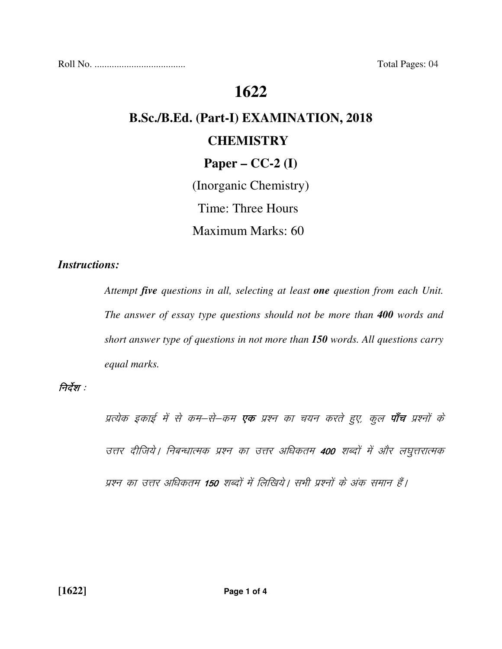Roll No. ..................................... Total Pages: 04

# **1622**

# **B.Sc./B.Ed. (Part-I) EXAMINATION, 2018 CHEMISTRY Paper – CC-2 (I)**

(Inorganic Chemistry) Time: Three Hours Maximum Marks: 60

#### *Instructions:*

 *Attempt five questions in all, selecting at least one question from each Unit. The answer of essay type questions should not be more than 400 words and short answer type of questions in not more than 150 words. All questions carry equal marks.* 

#### निर्देश :

प्रत्येक इकाई में से कम–से–कम **एक** प्रश्न का चयन करते हुए, कुल **पाँच** प्रश्नों के उत्तर दीजिये | निबन्धात्मक प्रश्न का उत्तर अधिकतम 400 शब्दों में और लघुत्तरात्मक प्रश्न का उत्तर अधिकतम 150 शब्दों में लिखिये। सभी प्रश्नों के अंक समान हैं।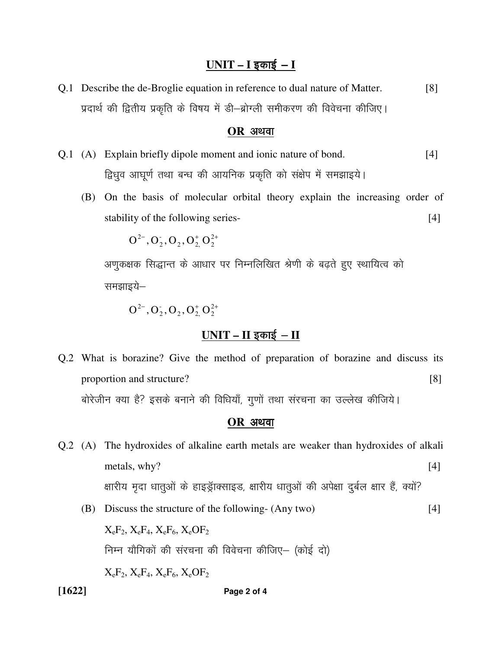#### <u> UNIT – I इकाई – I</u>

Q.1 Describe the de-Broglie equation in reference to dual nature of Matter. [8] प्रदार्थ की द्वितीय प्रकृति के विषय में डी–ब्रोग्ली समीकरण की विवेचना कीजिए।

#### **OR** अथवा

- Q.1 (A) Explain briefly dipole moment and ionic nature of bond. [4] हिधुव आघूर्ण तथा बन्ध की आयनिक प्रकृति को संक्षेप में समझाइये।
	- (B) On the basis of molecular orbital theory explain the increasing order of stability of the following series- [4]

 $\Omega$   $\Omega$   $\Omega$   $\Omega$ <sup>+</sup>  $\Omega$ <sup>2+</sup>  $_2$ ,  $\mathbf{U}_2$ ,  $\mathbf{U}_2$ -  ${\rm O}^{2-},{\rm O}_2^-, {\rm O}_2^-, {\rm O}^+_2,{\rm O}^{2+}_2$ 

अणुकक्षक सिद्धान्त के आधार पर निम्नलिखित श्रेणी के बढ़ते हुए स्थायित्व को समझाइये—

 $\Omega$   $\Omega$   $\Omega$   $\Omega$ <sup>+</sup>  $\Omega$ <sup>2+</sup>  $_2$ ,  $\mathbf{U}_2$ ,  $\mathbf{U}_2$ -  ${\rm O}^{2-}$  ,  ${\rm O}^{\scriptscriptstyle +}_2$  ,  ${\rm O}^{\scriptscriptstyle +}_{2}$  ,  ${\rm O}^{\scriptscriptstyle +}_{2}$  ,  ${\rm O}^{\scriptscriptstyle +}_{2}$  ,  ${\rm O}$ 

#### $UNIT - II$  इकाई - II

Q.2 What is borazine? Give the method of preparation of borazine and discuss its proportion and structure? [8] बोरेजीन क्या है? इसके बनाने की विधियाँ, गुणों तथा संरचना का उल्लेख कीजिये।

#### **OR** अथवा

- Q.2 (A) The hydroxides of alkaline earth metals are weaker than hydroxides of alkali metals, why? [4] क्षारीय मृदा धातुओं के हाइड्राक्साइड, क्षारीय धातुओं की अपेक्षा दुर्बल क्षार हैं, क्यों?
	- (B) Discuss the structure of the following- (Any two) [4]  $X_eF_2$ ,  $X_eF_4$ ,  $X_eF_6$ ,  $X_eOF_2$ निम्न यौगिकों की संरचना की विवेचना कीजिए– (कोई दो)  $X_eF_2$ ,  $X_eF_4$ ,  $X_eF_6$ ,  $X_eOF_2$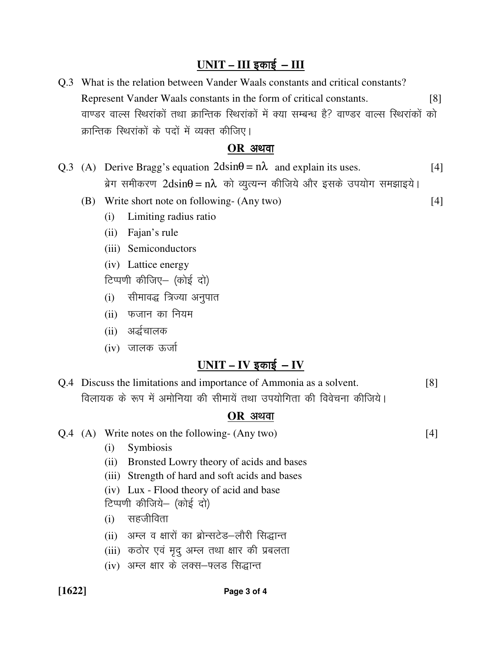## <u>UNIT – III इकाई – III</u>

Q.3 What is the relation between Vander Waals constants and critical constants? Represent Vander Waals constants in the form of critical constants. [8] वाण्डर वाल्स स्थिरांकों तथा क्रान्तिक स्थिरांकों में क्या सम्बन्ध है? वाण्डर वाल्स स्थिरांकों को क्रान्तिक स्थिरांकों के पदों में व्यक्त कीजिए।

#### **OR** अ<u>थवा</u>

- Q.3 (A) Derive Bragg's equation  $2\text{dsin}\theta = n\lambda$  and explain its uses. [4]  $\sin \theta = \sin \theta = \sin \theta$  and  $\cos \theta = \sin \theta$  and  $\sin \theta = \sin \theta$  in Eq. (3) and states in the state minimized
	- (B) Write short note on following- (Any two) [4]
		- (i) Limiting radius ratio
		- (ii) Fajan's rule
		- (iii) Semiconductors
		- (iv) Lattice energy
		- टिप्पणी कीजिए (कोई दो)
		- (i) सीमावद्ध त्रिज्या अनुपात
		- $(ii)$  फजान का नियम
		- (ii) अर्द्धचालक
		- $(iv)$  जालक ऊर्जा

### $UNIT - IV$  इकाई – IV

Q.4 Discuss the limitations and importance of Ammonia as a solvent. [8] विलायक के रूप में अमोनिया की सीमायें तथा उपयोगिता की विवेचना कीजिये।

#### $OR$  अथवा

Q.4 (A) Write notes on the following- (Any two) [4]

- (i) Symbiosis
- (ii) Bronsted Lowry theory of acids and bases
- (iii) Strength of hard and soft acids and bases
- (iv) Lux Flood theory of acid and base
- टिप्पणी कीजिये- (कोई दो)
- $(i)$  सहजीविता
- (ii) अम्ल व क्षारों का ब्रोन्सटेड-लौरी सिद्धान्त
- (iii) कठोर एवं मृदु अम्ल तथा क्षार की प्रबलता
- (iv) अम्ल क्षार के लक्स-फ्लड सिद्धान्त